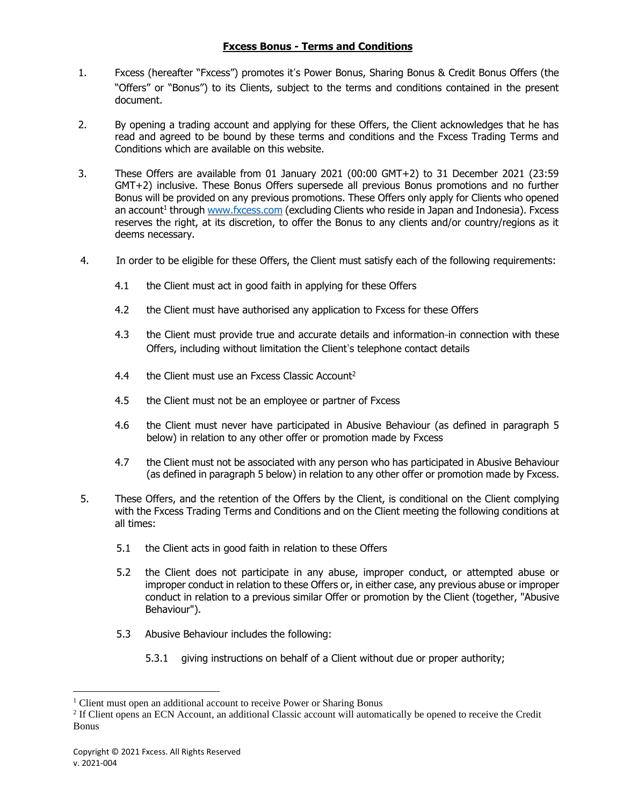### **Fxcess Bonus - Terms and Conditions**

- 1. Fxcess (hereafter "Fxcess") promotes it's Power Bonus, Sharing Bonus & Credit Bonus Offers (the "Offers" or "Bonus") to its Clients, subject to the terms and conditions contained in the present document.
- 2. By opening a trading account and applying for these Offers, the Client acknowledges that he has read and agreed to be bound by these terms and conditions and the Fxcess Trading Terms and Conditions which are available on this website.
- 3. These Offers are available from 01 January 2021 (00:00 GMT+2) to 31 December 2021 (23:59 GMT+2) inclusive. These Bonus Offers supersede all previous Bonus promotions and no further Bonus will be provided on any previous promotions. These Offers only apply for Clients who opened an account<sup>1</sup> through [www.fxcess.com](http://www.fxcess.com/) (excluding Clients who reside in Japan and Indonesia). Fxcess reserves the right, at its discretion, to offer the Bonus to any clients and/or country/regions as it deems necessary.
- 4. In order to be eligible for these Offers, the Client must satisfy each of the following requirements:
	- 4.1 the Client must act in good faith in applying for these Offers
	- 4.2 the Client must have authorised any application to Fxcess for these Offers
	- 4.3 the Client must provide true and accurate details and information-in connection with these Offers, including without limitation the Client's telephone contact details
	- 4.4 the Client must use an Fxcess Classic Account<sup>2</sup>
	- 4.5 the Client must not be an employee or partner of Fxcess
	- 4.6 the Client must never have participated in Abusive Behaviour (as defined in paragraph 5 below) in relation to any other offer or promotion made by Fxcess
	- 4.7 the Client must not be associated with any person who has participated in Abusive Behaviour (as defined in paragraph 5 below) in relation to any other offer or promotion made by Fxcess.
- 5. These Offers, and the retention of the Offers by the Client, is conditional on the Client complying with the Fxcess Trading Terms and Conditions and on the Client meeting the following conditions at all times:
	- 5.1 the Client acts in good faith in relation to these Offers
	- 5.2 the Client does not participate in any abuse, improper conduct, or attempted abuse or improper conduct in relation to these Offers or, in either case, any previous abuse or improper conduct in relation to a previous similar Offer or promotion by the Client (together, "Abusive Behaviour").
	- 5.3 Abusive Behaviour includes the following:
		- 5.3.1 giving instructions on behalf of a Client without due or proper authority;

<sup>&</sup>lt;sup>1</sup> Client must open an additional account to receive Power or Sharing Bonus

<sup>&</sup>lt;sup>2</sup> If Client opens an ECN Account, an additional Classic account will automatically be opened to receive the Credit Bonus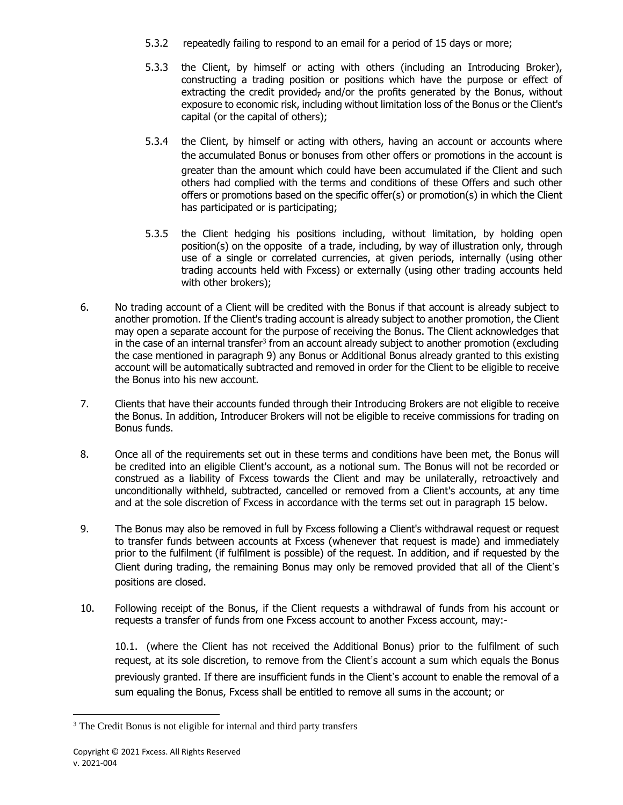- 5.3.2 repeatedly failing to respond to an email for a period of 15 days or more;
- 5.3.3 the Client, by himself or acting with others (including an Introducing Broker), constructing a trading position or positions which have the purpose or effect of extracting the credit provided, and/or the profits generated by the Bonus, without exposure to economic risk, including without limitation loss of the Bonus or the Client's capital (or the capital of others);
- 5.3.4 the Client, by himself or acting with others, having an account or accounts where the accumulated Bonus or bonuses from other offers or promotions in the account is greater than the amount which could have been accumulated if the Client and such others had complied with the terms and conditions of these Offers and such other offers or promotions based on the specific offer(s) or promotion(s) in which the Client has participated or is participating;
- 5.3.5 the Client hedging his positions including, without limitation, by holding open position(s) on the opposite of a trade, including, by way of illustration only, through use of a single or correlated currencies, at given periods, internally (using other trading accounts held with Fxcess) or externally (using other trading accounts held with other brokers);
- 6. No trading account of a Client will be credited with the Bonus if that account is already subject to another promotion. If the Client's trading account is already subject to another promotion, the Client may open a separate account for the purpose of receiving the Bonus. The Client acknowledges that in the case of an internal transfer<sup>3</sup> from an account already subject to another promotion (excluding the case mentioned in paragraph 9) any Bonus or Additional Bonus already granted to this existing account will be automatically subtracted and removed in order for the Client to be eligible to receive the Bonus into his new account.
- 7. Clients that have their accounts funded through their Introducing Brokers are not eligible to receive the Bonus. In addition, Introducer Brokers will not be eligible to receive commissions for trading on Bonus funds.
- 8. Once all of the requirements set out in these terms and conditions have been met, the Bonus will be credited into an eligible Client's account, as a notional sum. The Bonus will not be recorded or construed as a liability of Fxcess towards the Client and may be unilaterally, retroactively and unconditionally withheld, subtracted, cancelled or removed from a Client's accounts, at any time and at the sole discretion of Fxcess in accordance with the terms set out in paragraph 15 below.
- 9. The Bonus may also be removed in full by Fxcess following a Client's withdrawal request or request to transfer funds between accounts at Fxcess (whenever that request is made) and immediately prior to the fulfilment (if fulfilment is possible) of the request. In addition, and if requested by the Client during trading, the remaining Bonus may only be removed provided that all of the Client's positions are closed.
- 10. Following receipt of the Bonus, if the Client requests a withdrawal of funds from his account or requests a transfer of funds from one Fxcess account to another Fxcess account, may:-

10.1. (where the Client has not received the Additional Bonus) prior to the fulfilment of such request, at its sole discretion, to remove from the Client's account a sum which equals the Bonus previously granted. If there are insufficient funds in the Client's account to enable the removal of a sum equaling the Bonus, Fxcess shall be entitled to remove all sums in the account; or

<sup>&</sup>lt;sup>3</sup> The Credit Bonus is not eligible for internal and third party transfers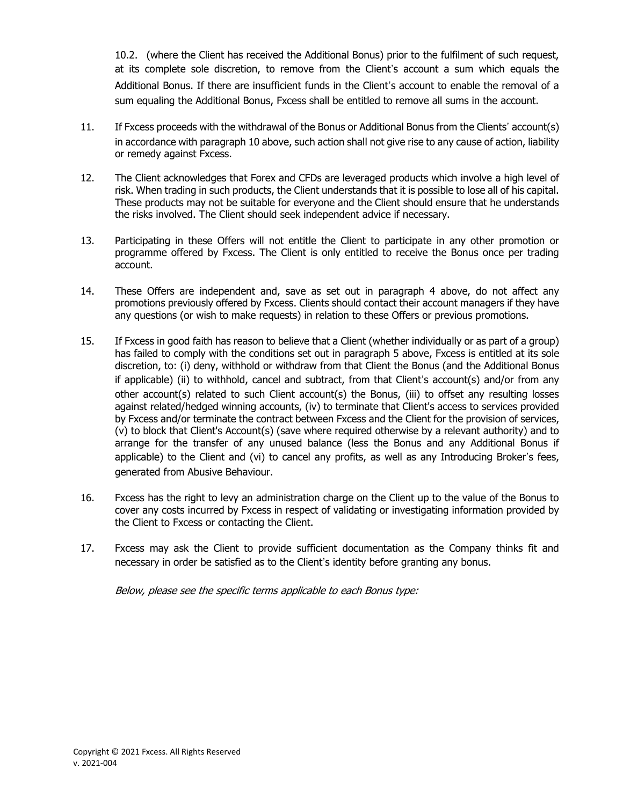10.2. (where the Client has received the Additional Bonus) prior to the fulfilment of such request, at its complete sole discretion, to remove from the Client's account a sum which equals the Additional Bonus. If there are insufficient funds in the Client's account to enable the removal of a sum equaling the Additional Bonus, Fxcess shall be entitled to remove all sums in the account.

- 11. If Fxcess proceeds with the withdrawal of the Bonus or Additional Bonus from the Clients' account(s) in accordance with paragraph 10 above, such action shall not give rise to any cause of action, liability or remedy against Fxcess.
- 12. The Client acknowledges that Forex and CFDs are leveraged products which involve a high level of risk. When trading in such products, the Client understands that it is possible to lose all of his capital. These products may not be suitable for everyone and the Client should ensure that he understands the risks involved. The Client should seek independent advice if necessary.
- 13. Participating in these Offers will not entitle the Client to participate in any other promotion or programme offered by Fxcess. The Client is only entitled to receive the Bonus once per trading account.
- 14. These Offers are independent and, save as set out in paragraph 4 above, do not affect any promotions previously offered by Fxcess. Clients should contact their account managers if they have any questions (or wish to make requests) in relation to these Offers or previous promotions.
- 15. If Fxcess in good faith has reason to believe that a Client (whether individually or as part of a group) has failed to comply with the conditions set out in paragraph 5 above, Fxcess is entitled at its sole discretion, to: (i) deny, withhold or withdraw from that Client the Bonus (and the Additional Bonus if applicable) (ii) to withhold, cancel and subtract, from that Client's account(s) and/or from any other account(s) related to such Client account(s) the Bonus, (iii) to offset any resulting losses against related/hedged winning accounts, (iv) to terminate that Client's access to services provided by Fxcess and/or terminate the contract between Fxcess and the Client for the provision of services, (v) to block that Client's Account(s) (save where required otherwise by a relevant authority) and to arrange for the transfer of any unused balance (less the Bonus and any Additional Bonus if applicable) to the Client and (vi) to cancel any profits, as well as any Introducing Broker's fees, generated from Abusive Behaviour.
- 16. Fxcess has the right to levy an administration charge on the Client up to the value of the Bonus to cover any costs incurred by Fxcess in respect of validating or investigating information provided by the Client to Fxcess or contacting the Client.
- 17. Fxcess may ask the Client to provide sufficient documentation as the Company thinks fit and necessary in order be satisfied as to the Client's identity before granting any bonus.

Below, please see the specific terms applicable to each Bonus type: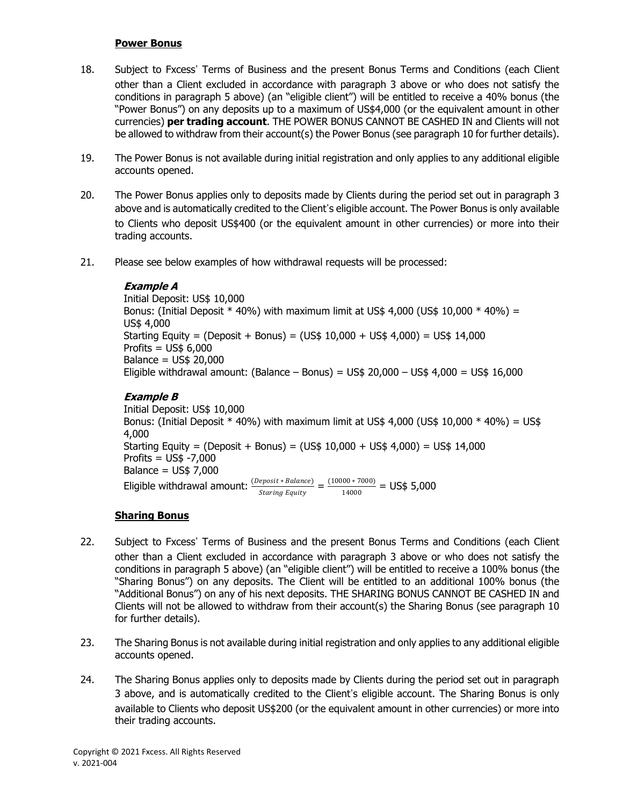#### **Power Bonus**

- 18. Subject to Fxcess' Terms of Business and the present Bonus Terms and Conditions (each Client other than a Client excluded in accordance with paragraph 3 above or who does not satisfy the conditions in paragraph 5 above) (an "eligible client") will be entitled to receive a 40% bonus (the "Power Bonus") on any deposits up to a maximum of US\$4,000 (or the equivalent amount in other currencies) **per trading account**. THE POWER BONUS CANNOT BE CASHED IN and Clients will not be allowed to withdraw from their account(s) the Power Bonus (see paragraph 10 for further details).
- 19. The Power Bonus is not available during initial registration and only applies to any additional eligible accounts opened.
- 20. The Power Bonus applies only to deposits made by Clients during the period set out in paragraph 3 above and is automatically credited to the Client's eligible account. The Power Bonus is only available to Clients who deposit US\$400 (or the equivalent amount in other currencies) or more into their trading accounts.
- 21. Please see below examples of how withdrawal requests will be processed:

### **Example A**

Initial Deposit: US\$ 10,000 Bonus: (Initial Deposit  $*$  40%) with maximum limit at US\$ 4,000 (US\$ 10,000  $*$  40%) = US\$ 4,000 Starting Equity = (Deposit + Bonus) =  $(US$ 10,000 + US$ 4,000) = US$ 14,000$ Profits = US\$ 6,000 Balance = US\$ 20,000 Eligible withdrawal amount: (Balance – Bonus) =  $US$ 20,000 - US$ 4,000 = US$ 16,000$ 

# **Example B**

Initial Deposit: US\$ 10,000 Bonus: (Initial Deposit  $*$  40%) with maximum limit at US\$ 4,000 (US\$ 10,000  $*$  40%) = US\$ 4,000 Starting Equity = (Deposit + Bonus) =  $(US$ 10,000 + US$ 4,000) = US$ 14,000$ Profits = US\$ -7,000 Balance = US\$ 7,000 Eligible withdrawal amount:  $\frac{(Deposit * Balance)}{2(1000)} = \frac{(10000 * 7000)}{44000} = US$5,000$ **Staring Equity** 14000

## **Sharing Bonus**

- 22. Subject to Fxcess' Terms of Business and the present Bonus Terms and Conditions (each Client other than a Client excluded in accordance with paragraph 3 above or who does not satisfy the conditions in paragraph 5 above) (an "eligible client") will be entitled to receive a 100% bonus (the "Sharing Bonus") on any deposits. The Client will be entitled to an additional 100% bonus (the "Additional Bonus") on any of his next deposits. THE SHARING BONUS CANNOT BE CASHED IN and Clients will not be allowed to withdraw from their account(s) the Sharing Bonus (see paragraph 10 for further details).
- 23. The Sharing Bonus is not available during initial registration and only applies to any additional eligible accounts opened.
- 24. The Sharing Bonus applies only to deposits made by Clients during the period set out in paragraph 3 above, and is automatically credited to the Client's eligible account. The Sharing Bonus is only available to Clients who deposit US\$200 (or the equivalent amount in other currencies) or more into their trading accounts.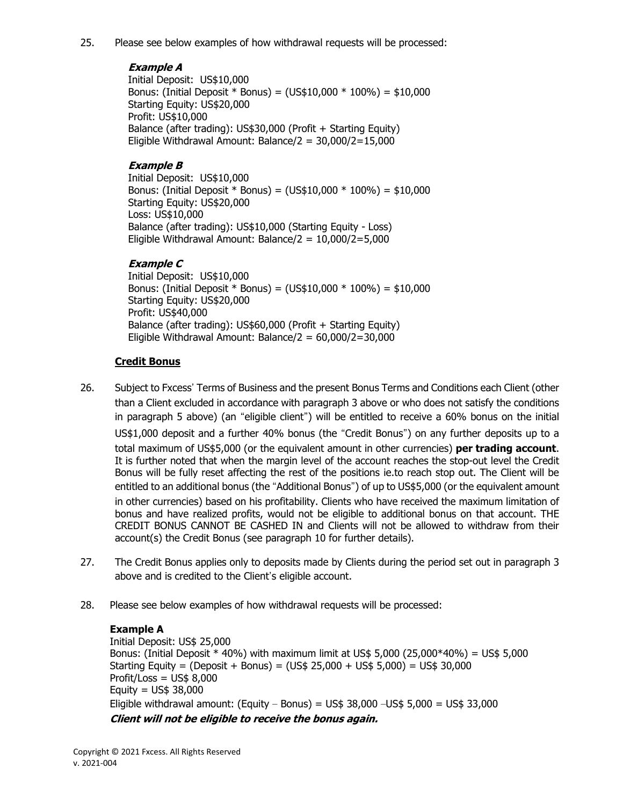25. Please see below examples of how withdrawal requests will be processed:

## **Example A**

Initial Deposit: US\$10,000 Bonus: (Initial Deposit \* Bonus) = (US\$10,000 \* 100%) = \$10,000 Starting Equity: US\$20,000 Profit: US\$10,000 Balance (after trading): US\$30,000 (Profit + Starting Equity) Eligible Withdrawal Amount: Balance/ $2 = 30,000/2 = 15,000$ 

## **Example B**

Initial Deposit: US\$10,000 Bonus: (Initial Deposit  $*$  Bonus) = (US\$10,000  $*$  100%) = \$10,000 Starting Equity: US\$20,000 Loss: US\$10,000 Balance (after trading): US\$10,000 (Starting Equity - Loss) Eligible Withdrawal Amount: Balance/ $2 = 10,000/2 = 5,000$ 

### **Example C**

Initial Deposit: US\$10,000 Bonus: (Initial Deposit \* Bonus) = (US\$10,000 \* 100%) = \$10,000 Starting Equity: US\$20,000 Profit: US\$40,000 Balance (after trading): US\$60,000 (Profit + Starting Equity) Eligible Withdrawal Amount: Balance/ $2 = 60,000/2 = 30,000$ 

### **Credit Bonus**

- 26. Subject to Fxcess' Terms of Business and the present Bonus Terms and Conditions each Client (other than a Client excluded in accordance with paragraph 3 above or who does not satisfy the conditions in paragraph 5 above) (an "eligible client") will be entitled to receive a 60% bonus on the initial US\$1,000 deposit and a further 40% bonus (the "Credit Bonus") on any further deposits up to a total maximum of US\$5,000 (or the equivalent amount in other currencies) **per trading account**. It is further noted that when the margin level of the account reaches the stop-out level the Credit Bonus will be fully reset affecting the rest of the positions ie.to reach stop out. The Client will be entitled to an additional bonus (the "Additional Bonus") of up to US\$5,000 (or the equivalent amount in other currencies) based on his profitability. Clients who have received the maximum limitation of bonus and have realized profits, would not be eligible to additional bonus on that account. THE CREDIT BONUS CANNOT BE CASHED IN and Clients will not be allowed to withdraw from their account(s) the Credit Bonus (see paragraph 10 for further details).
- 27. The Credit Bonus applies only to deposits made by Clients during the period set out in paragraph 3 above and is credited to the Client's eligible account.
- 28. Please see below examples of how withdrawal requests will be processed:

### **Example A**

Initial Deposit: US\$ 25,000 Bonus: (Initial Deposit \* 40%) with maximum limit at US\$ 5,000 (25,000\*40%) = US\$ 5,000 Starting Equity = (Deposit + Bonus) = (US\$ 25,000 + US\$ 5,000) = US\$ 30,000  $Profit / Loss = US$ 8.000$ Equity =  $US$38,000$ Eligible withdrawal amount: (Equity – Bonus) =  $US$38,000$  –US\$ 5,000 = US\$ 33,000 **Client will not be eligible to receive the bonus again.**